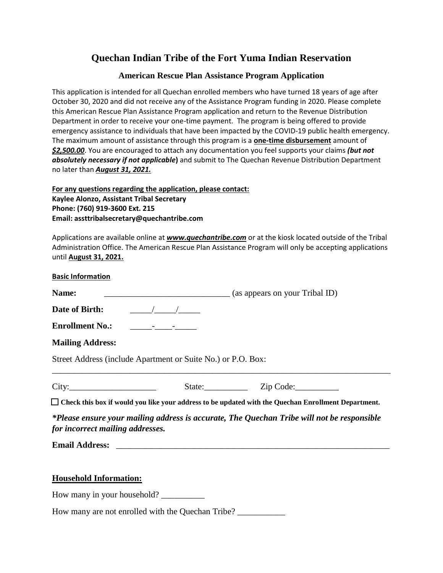# **Quechan Indian Tribe of the Fort Yuma Indian Reservation**

## **American Rescue Plan Assistance Program Application**

This application is intended for all Quechan enrolled members who have turned 18 years of age after October 30, 2020 and did not receive any of the Assistance Program funding in 2020. Please complete this American Rescue Plan Assistance Program application and return to the Revenue Distribution Department in order to receive your one-time payment. The program is being offered to provide emergency assistance to individuals that have been impacted by the COVID-19 public health emergency. The maximum amount of assistance through this program is a **one-time disbursement** amount of *\$2,500.00*. You are encouraged to attach any documentation you feel supports your claims *(but not absolutely necessary if not applicable***)** and submit to The Quechan Revenue Distribution Department no later than *August 31, 2021.*

**For any questions regarding the application, please contact: Kaylee Alonzo, Assistant Tribal Secretary Phone: (760) 919-3600 Ext. 215 Email: assttribalsecretary@quechantribe.com**

Applications are available online at *www.quechantribe.com* or at the kiosk located outside of the Tribal Administration Office. The American Rescue Plan Assistance Program will only be accepting applications until **August 31, 2021.**

| <b>Basic Information</b> |  |
|--------------------------|--|
|                          |  |

**Name:** \_\_\_\_\_\_\_\_\_\_\_\_\_\_\_\_\_\_\_\_\_\_\_\_\_\_\_\_\_ (as appears on your Tribal ID)

**Date of Birth:**  $\frac{1}{2}$  /

**Enrollment No.:** \_\_\_\_\_-\_\_\_\_-\_\_\_\_\_

**Mailing Address:**

Street Address (include Apartment or Suite No.) or P.O. Box:

| ×<br>٠ |  |
|--------|--|

City:\_\_\_\_\_\_\_\_\_\_\_\_\_\_\_\_\_\_\_\_ State:\_\_\_\_\_\_\_\_\_\_ Zip Code:\_\_\_\_\_\_\_\_\_\_

**Check this box if would you like your address to be updated with the Quechan Enrollment Department.**

\_\_\_\_\_\_\_\_\_\_\_\_\_\_\_\_\_\_\_\_\_\_\_\_\_\_\_\_\_\_\_\_\_\_\_\_\_\_\_\_\_\_\_\_\_\_\_\_\_\_\_\_\_\_\_\_\_\_\_\_\_\_\_\_\_\_\_\_\_\_\_\_\_\_\_\_\_\_

*\*Please ensure your mailing address is accurate, The Quechan Tribe will not be responsible for incorrect mailing addresses.*

**Email Address:** \_\_\_\_\_\_\_\_\_\_\_\_\_\_\_\_\_\_\_\_\_\_\_\_\_\_\_\_\_\_\_\_\_\_\_\_\_\_\_\_\_\_\_\_\_\_\_\_\_\_\_\_\_\_\_\_\_\_\_\_\_\_\_

#### **Household Information:**

How many in your household?

How many are not enrolled with the Quechan Tribe? \_\_\_\_\_\_\_\_\_\_\_\_\_\_\_\_\_\_\_\_\_\_\_\_\_\_\_\_\_\_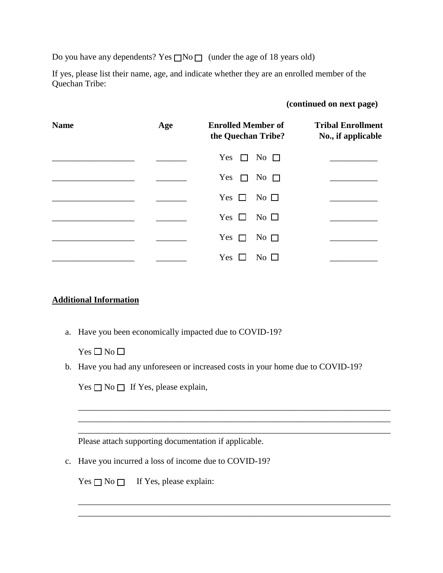Do you have any dependents? Yes  $\Box$ No  $\Box$  (under the age of 18 years old)

If yes, please list their name, age, and indicate whether they are an enrolled member of the Quechan Tribe:

#### **(continued on next page)**

| <b>Name</b> | Age | <b>Enrolled Member of</b><br>the Quechan Tribe? | <b>Tribal Enrollment</b><br>No., if applicable |
|-------------|-----|-------------------------------------------------|------------------------------------------------|
|             |     | Yes $\Box$ No $\Box$                            |                                                |
|             |     | Yes $\Box$<br>No $\Box$                         |                                                |
|             |     | Yes $\Box$<br>No $\square$                      |                                                |
|             |     | Yes $\Box$ No $\Box$                            |                                                |
|             |     | Yes $\Box$<br>No $\Box$                         |                                                |
|             |     | Yes<br>No $\Box$                                |                                                |

# **Additional Information**

a. Have you been economically impacted due to COVID-19?

 $Yes \Box No \Box$ 

b. Have you had any unforeseen or increased costs in your home due to COVID-19?

\_\_\_\_\_\_\_\_\_\_\_\_\_\_\_\_\_\_\_\_\_\_\_\_\_\_\_\_\_\_\_\_\_\_\_\_\_\_\_\_\_\_\_\_\_\_\_\_\_\_\_\_\_\_\_\_\_\_\_\_\_\_\_\_\_\_\_\_\_\_\_\_ \_\_\_\_\_\_\_\_\_\_\_\_\_\_\_\_\_\_\_\_\_\_\_\_\_\_\_\_\_\_\_\_\_\_\_\_\_\_\_\_\_\_\_\_\_\_\_\_\_\_\_\_\_\_\_\_\_\_\_\_\_\_\_\_\_\_\_\_\_\_\_\_ \_\_\_\_\_\_\_\_\_\_\_\_\_\_\_\_\_\_\_\_\_\_\_\_\_\_\_\_\_\_\_\_\_\_\_\_\_\_\_\_\_\_\_\_\_\_\_\_\_\_\_\_\_\_\_\_\_\_\_\_\_\_\_\_\_\_\_\_\_\_\_\_

\_\_\_\_\_\_\_\_\_\_\_\_\_\_\_\_\_\_\_\_\_\_\_\_\_\_\_\_\_\_\_\_\_\_\_\_\_\_\_\_\_\_\_\_\_\_\_\_\_\_\_\_\_\_\_\_\_\_\_\_\_\_\_\_\_\_\_\_\_\_\_\_ \_\_\_\_\_\_\_\_\_\_\_\_\_\_\_\_\_\_\_\_\_\_\_\_\_\_\_\_\_\_\_\_\_\_\_\_\_\_\_\_\_\_\_\_\_\_\_\_\_\_\_\_\_\_\_\_\_\_\_\_\_\_\_\_\_\_\_\_\_\_\_\_

 $Yes \square No \square$  If Yes, please explain,

Please attach supporting documentation if applicable.

c. Have you incurred a loss of income due to COVID-19?

 $Yes \square No \square$  If Yes, please explain: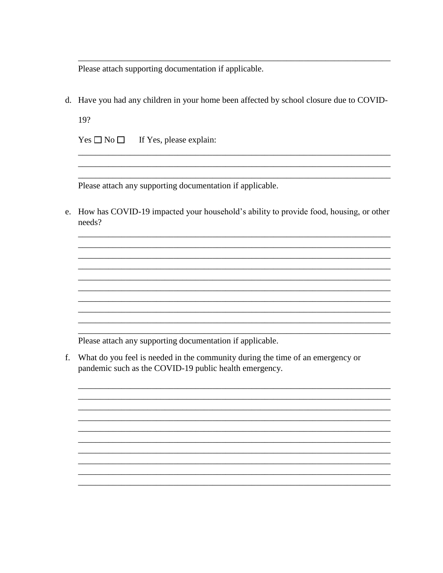Please attach supporting documentation if applicable.

d. Have you had any children in your home been affected by school closure due to COVID-

19?

 $Yes \Box No \Box$  If Yes, please explain:

Please attach any supporting documentation if applicable.

e. How has COVID-19 impacted your household's ability to provide food, housing, or other needs?

Please attach any supporting documentation if applicable.

f. What do you feel is needed in the community during the time of an emergency or pandemic such as the COVID-19 public health emergency.